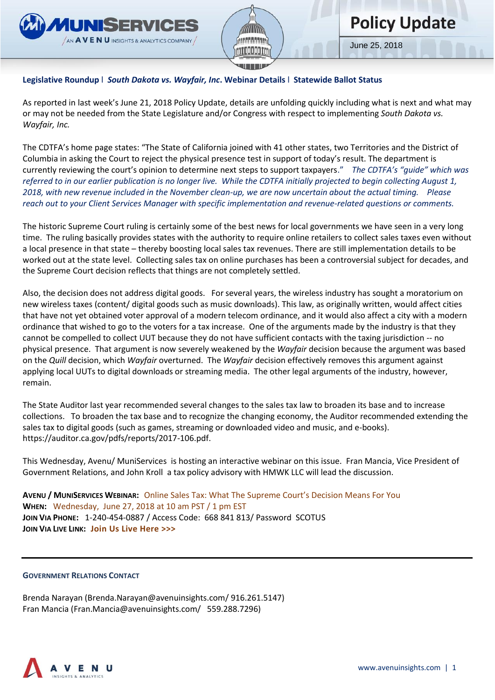



### **Legislative Roundup** l *South Dakota vs. Wayfair, Inc***. Webinar Details** l **Statewide Ballot Status**

As reported in last week's June 21, 2018 Policy Update, details are unfolding quickly including what is next and what may or may not be needed from the State Legislature and/or Congress with respect to implementing *South Dakota vs. Wayfair, Inc.*

The CDTFA's home page states: "The State of California [joined](https://www.supremecourt.gov/DocketPDF/17/17-494/37674/20180305153329994_17-494%20Amici%20Brief%20States%20PDFA.pdf) with 41 other states, two Territories and the District of Columbia in asking the Court to reject the physical presence test in support of today's result. The department is currently reviewing the court's opinion to determine next steps to support taxpayers." *The CDTFA's "guide" which was referred to in our earlier publication is no longer live. While the CDTFA initially projected to begin collecting August 1, 2018, with new revenue included in the November clean-up, we are now uncertain about the actual timing. Please reach out to your Client Services Manager with specific implementation and revenue-related questions or comments.* 

The historic Supreme Court ruling is certainly some of the best news for local governments we have seen in a very long time. The ruling basically provides states with the authority to require online retailers to collect sales taxes even without a local presence in that state – thereby boosting local sales tax revenues. There are still implementation details to be worked out at the state level. Collecting sales tax on online purchases has been a controversial subject for decades, and the Supreme Court decision reflects that things are not completely settled.

Also, the decision does not address digital goods. For several years, the wireless industry has sought a moratorium on new wireless taxes (content/ digital goods such as music downloads). This law, as originally written, would affect cities that have not yet obtained voter approval of a modern telecom ordinance, and it would also affect a city with a modern ordinance that wished to go to the voters for a tax increase. One of the arguments made by the industry is that they cannot be compelled to collect UUT because they do not have sufficient contacts with the taxing jurisdiction -- no physical presence. That argument is now severely weakened by the *Wayfair* decision because the argument was based on the *Quill* decision, which *Wayfair* overturned. The *Wayfair* decision effectively removes this argument against applying local UUTs to digital downloads or streaming media. The other legal arguments of the industry, however, remain.

The State Auditor last year recommended several changes to the sales tax law to broaden its base and to increase collections. To broaden the tax base and to recognize the changing economy, the Auditor recommended extending the sales tax to digital goods (such as games, streaming or downloaded video and music, and e-books). [https://auditor.ca.gov/pdfs/reports/2017-106.pdf.](https://auditor.ca.gov/pdfs/reports/2017-106.pdf)

This Wednesday, Avenu/ MuniServices is hosting an interactive webinar on this issue. Fran Mancia, Vice President of Government Relations, and John Kroll a tax policy advisory with HMWK LLC will lead the discussion.

**AVENU / MUNISERVICES WEBINAR:** Online Sales Tax: What The Supreme Court's Decision Means For You **WHEN:** Wednesday, June 27, 2018 at 10 am PST / 1 pm EST **JOIN VIA PHONE:** 1-240-454-0887 / Access Code: 668 841 813/ Password SCOTUS **JOIN VIA LIVE LINK: [Join Us Live Here >>>](https://go.pardot.com/e/399492/466cf01663171a4d8b7f077c5310f7/3jn8l/64995431)**

#### **GOVERNMENT RELATIONS CONTACT**

Brenda Narayan [\(Brenda.Narayan@avenuinsights.com/](mailto:Brenda.Narayan@avenuinsights.com/) 916.261.5147) Fran Mancia [\(Fran.Mancia@avenuinsights.com/](mailto:Fran.Mancia@avenuinsights.com/) 559.288.7296)

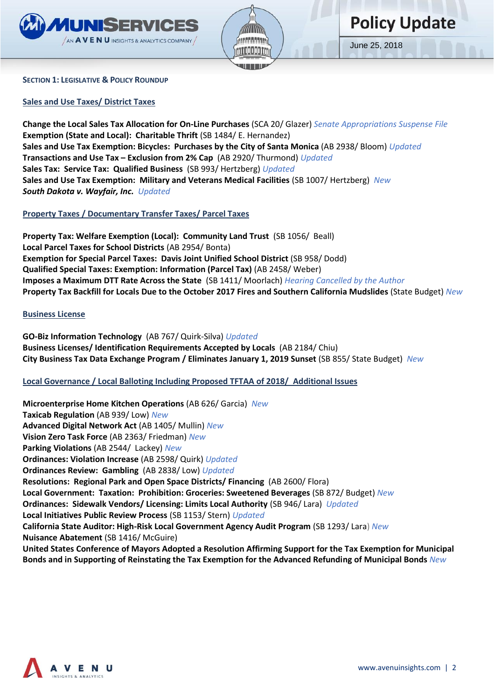



#### **SECTION 1: LEGISLATIVE & POLICY ROUNDUP**

**Sales and Use Taxes/ District Taxes** 

**Change the Local Sales Tax Allocation for On-Line Purchases** (SCA 20/ Glazer) *Senate Appropriations Suspense File*  **Exemption (State and Local): Charitable Thrift** (SB 1484/ E. Hernandez) **Sales and Use Tax Exemption: Bicycles: Purchases by the City of Santa Monica** (AB 2938/ Bloom) *Updated*  **Transactions and Use Tax – Exclusion from 2% Cap** (AB 2920/ Thurmond) *Updated*  **Sales Tax: Service Tax: Qualified Business** (SB 993/ Hertzberg) *Updated*  **Sales and Use Tax Exemption: Military and Veterans Medical Facilities** (SB 1007/ Hertzberg) *New South Dakota v. Wayfair, Inc. Updated* 

#### **Property Taxes / Documentary Transfer Taxes/ Parcel Taxes**

**Property Tax: Welfare Exemption (Local): Community Land Trust** (SB 1056/ Beall) **Local Parcel Taxes for School Districts** (AB 2954/ Bonta) **Exemption for Special Parcel Taxes: Davis Joint Unified School District** (SB 958/ Dodd) **Qualified Special Taxes: Exemption: Information (Parcel Tax)** (AB 2458/ Weber) **Imposes a Maximum DTT Rate Across the State** (SB 1411/ Moorlach) *Hearing Cancelled by the Author*  **Property Tax Backfill for Locals Due to the October 2017 Fires and Southern California Mudslides** (State Budget) *New*

#### **Business License**

**GO-Biz Information Technology** (AB 767/ Quirk-Silva) *Updated*  **Business Licenses/ Identification Requirements Accepted by Locals** (AB 2184/ Chiu) **City Business Tax Data Exchange Program / Eliminates January 1, 2019 Sunset** (SB 855/ State Budget)*New*

#### **Local Governance / Local Balloting Including Proposed TFTAA of 2018/ Additional Issues**

**Microenterprise Home Kitchen Operations** (AB 626/ Garcia) *New* **Taxicab Regulation** (AB 939/ Low) *New* **Advanced Digital Network Act** (AB 1405/ Mullin) *New* **Vision Zero Task Force** (AB 2363/ Friedman) *New* **Parking Violations** (AB 2544/ Lackey) *New* **Ordinances: Violation Increase** (AB 2598/ Quirk) *Updated* **Ordinances Review: Gambling** (AB 2838/ Low) *Updated* **Resolutions: Regional Park and Open Space Districts/ Financing** (AB 2600/ Flora) **Local Government: Taxation: Prohibition: Groceries: Sweetened Beverages** (SB 872/ Budget) *New* **Ordinances: Sidewalk Vendors/ Licensing: Limits Local Authority** (SB 946/ Lara) *Updated* **Local Initiatives Public Review Process** (SB 1153/ Stern) *Updated* **California State Auditor: High-Risk Local Government Agency Audit Program** (SB 1293/ Lara) *New* **Nuisance Abatement** (SB 1416/ McGuire) **United States Conference of Mayors Adopted a Resolution Affirming Support for the Tax Exemption for Municipal Bonds and in Supporting of Reinstating the Tax Exemption for the Advanced Refunding of Municipal Bonds** *New*

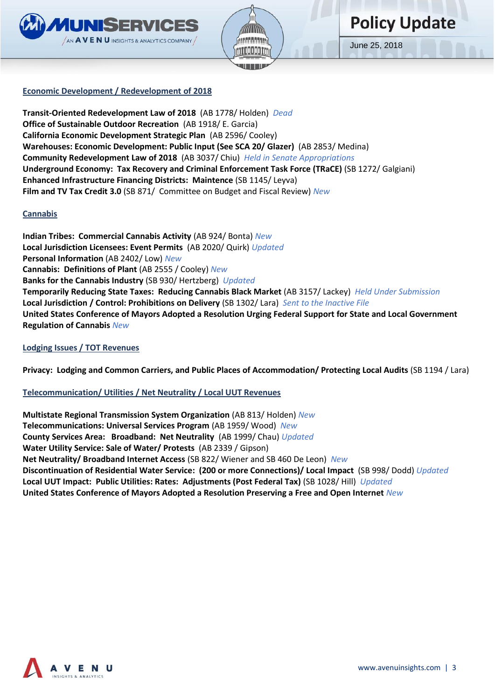



# **Policy Update**

June 25, 2018

## **Economic Development / Redevelopment of 2018**

**Transit-Oriented Redevelopment Law of 2018** (AB 1778/ Holden)*Dead* **Office of Sustainable Outdoor Recreation** (AB 1918/ E. Garcia) **California Economic Development Strategic Plan** (AB 2596/ Cooley) **Warehouses: Economic Development: Public Input (See SCA 20/ Glazer)** (AB 2853/ Medina) **Community Redevelopment Law of 2018** (AB 3037/ Chiu) *Held in Senate Appropriations* **Underground Economy: Tax Recovery and Criminal Enforcement Task Force (TRaCE)** (SB 1272/ Galgiani) **Enhanced Infrastructure Financing Districts: Maintence** (SB 1145/ Leyva) **Film and TV Tax Credit 3.0** (SB 871/ Committee on Budget and Fiscal Review) *New*

### **Cannabis**

**Indian Tribes: Commercial Cannabis Activity** (AB 924/ Bonta) *New* **Local Jurisdiction Licensees: Event Permits** (AB 2020/ Quirk) *Updated* **Personal Information** (AB 2402/ Low) *New* **Cannabis: Definitions of Plant** (AB 2555 / Cooley) *New* **Banks for the Cannabis Industry** (SB 930/ Hertzberg)*Updated* **Temporarily Reducing State Taxes: Reducing Cannabis Black Market** (AB 3157/ Lackey) *Held Under Submission* **Local Jurisdiction / Control: Prohibitions on Delivery** (SB 1302/ Lara) *Sent to the Inactive File*  **United States Conference of Mayors Adopted a Resolution Urging Federal Support for State and Local Government Regulation of Cannabis** *New*

#### **Lodging Issues / TOT Revenues**

**Privacy: Lodging and Common Carriers, and Public Places of Accommodation/ Protecting Local Audits** (SB 1194 / Lara)

## **Telecommunication/ Utilities / Net Neutrality / Local UUT Revenues**

**Multistate Regional Transmission System Organization** (AB 813/ Holden) *New* **Telecommunications: Universal Services Program** (AB 1959/ Wood) *New* **County Services Area: Broadband: Net Neutrality** (AB 1999/ Chau) *Updated*  **Water Utility Service: Sale of Water/ Protests** (AB 2339 / Gipson) **Net Neutrality/ Broadband Internet Access** (SB 822/ Wiener and SB 460 De Leon) *New* **Discontinuation of Residential Water Service: (200 or more Connections)/ Local Impact** (SB 998/ Dodd) *Updated*  **Local UUT Impact: Public Utilities: Rates: Adjustments (Post Federal Tax)** (SB 1028/ Hill)*Updated* **United States Conference of Mayors Adopted a Resolution Preserving a Free and Open Internet** *New*

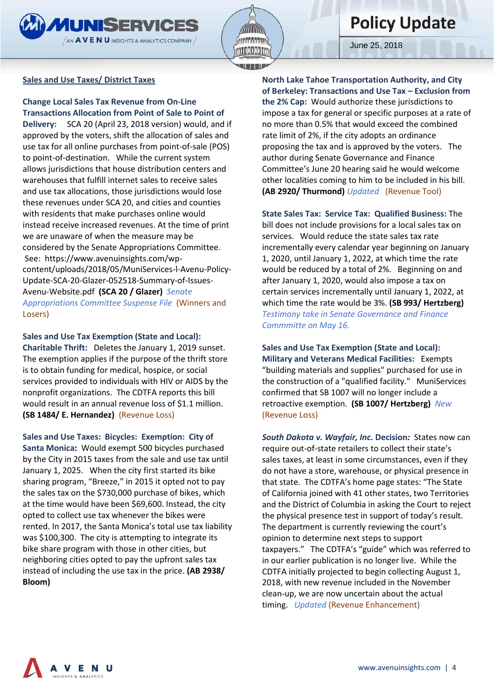

# **Policy Update**

June 25, 2018

# **Sales and Use Taxes/ District Taxes**

**Change Local Sales Tax Revenue from On-Line Transactions Allocation from Point of Sale to Point of** 

**Delivery:** SCA 20 (April 23, 2018 version) would, and if approved by the voters, shift the allocation of sales and use tax for all online purchases from point-of-sale (POS) to point-of-destination. While the current system allows jurisdictions that house distribution centers and warehouses that fulfill internet sales to receive sales and use tax allocations, those jurisdictions would lose these revenues under SCA 20, and cities and counties with residents that make purchases online would instead receive increased revenues. At the time of print we are unaware of when the measure may be considered by the Senate Appropriations Committee. See: https://www.avenuinsights.com/wpcontent/uploads/2018/05/MuniServices-l-Avenu-Policy-Update-SCA-20-Glazer-052518-Summary-of-Issues-Avenu-Website.pdf **(SCA 20 / Glazer)** *Senate Appropriations Committee Suspense File* (Winners and Losers)

**Sales and Use Tax Exemption (State and Local): Charitable Thrift:** Deletes the January 1, 2019 sunset. The exemption applies if the purpose of the thrift store is to obtain funding for medical, hospice, or social services provided to individuals with HIV or AIDS by the nonprofit organizations. The CDTFA reports this bill

would result in an annual revenue loss of \$1.1 million. **(SB 1484/ E. Hernandez)** (Revenue Loss)

**Sales and Use Taxes: Bicycles: Exemption: City of Santa Monica:** Would exempt 500 bicycles purchased

by the City in 2015 taxes from the sale and use tax until January 1, 2025. When the city first started its bike sharing program, "Breeze," in 2015 it opted not to pay the sales tax on the \$730,000 purchase of bikes, which at the time would have been \$69,600. Instead, the city opted to collect use tax whenever the bikes were rented. In 2017, the Santa Monica's total use tax liability was \$100,300. The city is attempting to integrate its bike share program with those in other cities, but neighboring cities opted to pay the upfront sales tax instead of including the use tax in the price. **(AB 2938/ Bloom)**

**North Lake Tahoe Transportation Authority, and City of Berkeley: Transactions and Use Tax – Exclusion from the 2% Cap:** Would authorize these jurisdictions to impose a tax for general or specific purposes at a rate of no more than 0.5% that would exceed the combined rate limit of 2%, if the city adopts an ordinance proposing the tax and is approved by the voters. The author during Senate Governance and Finance Committee's June 20 hearing said he would welcome other localities coming to him to be included in his bill. **(AB 2920/ Thurmond)** *Updated* (Revenue Tool)

**State Sales Tax: Service Tax: Qualified Business:** The bill does not include provisions for a local sales tax on services. Would reduce the state sales tax rate incrementally every calendar year beginning on January 1, 2020, until January 1, 2022, at which time the rate would be reduced by a total of 2%. Beginning on and after January 1, 2020, would also impose a tax on certain services incrementally until January 1, 2022, at which time the rate would be 3%. **(SB 993/ Hertzberg)**  *Testimony take in Senate Governance and Finance Commmitte on May 16.* 

**Sales and Use Tax Exemption (State and Local): Military and Veterans Medical Facilities:** Exempts "building materials and supplies" purchased for use in the construction of a "qualified facility." MuniServices confirmed that SB 1007 will no longer include a retroactive exemption. **(SB 1007/ Hertzberg)** *New*  (Revenue Loss)

*South Dakota v. Wayfair, Inc.* **Decision***:* States now can require out-of-state retailers to collect their state's sales taxes, at least in some circumstances, even if they do not have a store, warehouse, or physical presence in that state. The CDTFA's home page states: "The State of California [joined](https://www.supremecourt.gov/DocketPDF/17/17-494/37674/20180305153329994_17-494%20Amici%20Brief%20States%20PDFA.pdf) with 41 other states, two Territories and the District of Columbia in asking the Court to reject the physical presence test in support of today's result. The department is currently reviewing the court's opinion to determine next steps to support taxpayers." The CDTFA's "guide" which was referred to in our earlier publication is no longer live. While the CDTFA initially projected to begin collecting August 1, 2018, with new revenue included in the November clean-up, we are now uncertain about the actual timing. *Updated* (Revenue Enhancement)

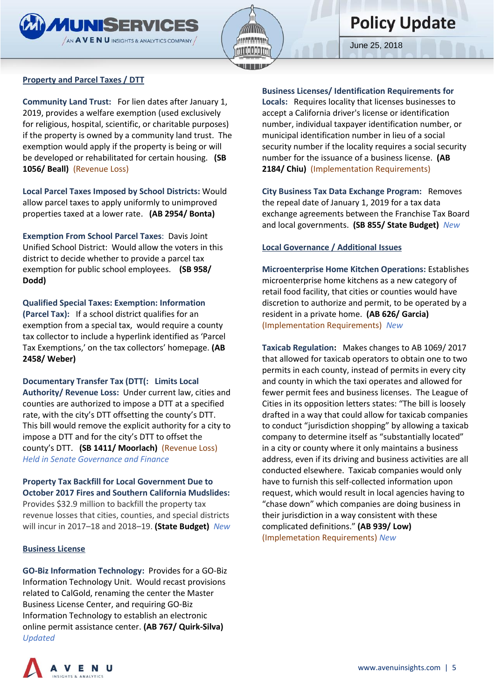![](_page_4_Picture_0.jpeg)

![](_page_4_Picture_1.jpeg)

# **Policy Update**

June 25, 2018

#### **Property and Parcel Taxes / DTT**

**Community Land Trust:** For lien dates after January 1, 2019, provides a welfare exemption (used exclusively for religious, hospital, scientific, or charitable purposes) if the property is owned by a community land trust. The exemption would apply if the property is being or will be developed or rehabilitated for certain housing. **(SB 1056/ Beall)** (Revenue Loss)

**Local Parcel Taxes Imposed by School Districts:** Would allow parcel taxes to apply uniformly to unimproved properties taxed at a lower rate. **(AB 2954/ Bonta)** 

**Exemption From School Parcel Taxes**: Davis Joint Unified School District: Would allow the voters in this district to decide whether to provide a parcel tax exemption for public school employees. **(SB 958/ Dodd)**

**Qualified Special Taxes: Exemption: Information (Parcel Tax):** If a school district qualifies for an exemption from a special tax, would require a county tax collector to include a hyperlink identified as 'Parcel Tax Exemptions,' on the tax collectors' homepage. **(AB 2458/ Weber)**

**Documentary Transfer Tax (DTT(: Limits Local Authority/ Revenue Loss:** Under current law, cities and counties are authorized to impose a DTT at a specified rate, with the city's DTT offsetting the county's DTT. This bill would remove the explicit authority for a city to impose a DTT and for the city's DTT to offset the county's DTT. **(SB 1411/ Moorlach)** (Revenue Loss) *Held in Senate Governance and Finance*

**Property Tax Backfill for Local Government Due to October 2017 Fires and Southern California Mudslides:**  Provides \$32.9 million to backfill the property tax revenue losses that cities, counties, and special districts will incur in 2017–18 and 2018–19. **(State Budget)** *New*

#### **Business License**

**GO-Biz Information Technology:** Provides for a GO-Biz Information Technology Unit. Would recast provisions related to CalGold, renaming the center the Master Business License Center, and requiring GO-Biz Information Technology to establish an electronic online permit assistance center. **(AB 767/ Quirk-Silva)** *Updated* 

**Business Licenses/ Identification Requirements for Locals:** Requires locality that licenses businesses to accept a California driver's license or identification number, individual taxpayer identification number, or municipal identification number in lieu of a social security number if the locality requires a social security number for the issuance of a business license. **(AB 2184/ Chiu)** (Implementation Requirements)

**City Business Tax Data Exchange Program:** Removes the repeal date of January 1, 2019 for a tax data exchange agreements between the Franchise Tax Board and local governments. **(SB 855/ State Budget)** *New* 

#### **Local Governance / Additional Issues**

**Microenterprise Home Kitchen Operations:** Establishes microenterprise home kitchens as a new category of retail food facility, that cities or counties would have discretion to authorize and permit, to be operated by a resident in a private home. **(AB 626/ Garcia)** (Implementation Requirements) *New*

**Taxicab Regulation:** Makes changes to AB 1069/ 2017 that allowed for taxicab operators to obtain one to two permits in each county, instead of permits in every city and county in which the taxi operates and allowed for fewer permit fees and business licenses. The League of Cities in its opposition letters states: "The bill is loosely drafted in a way that could allow for taxicab companies to conduct "jurisdiction shopping" by allowing a taxicab company to determine itself as "substantially located" in a city or county where it only maintains a business address, even if its driving and business activities are all conducted elsewhere. Taxicab companies would only have to furnish this self-collected information upon request, which would result in local agencies having to "chase down" which companies are doing business in their jurisdiction in a way consistent with these complicated definitions." **(AB 939/ Low)**  (Implemetation Requirements) *New*

![](_page_4_Picture_18.jpeg)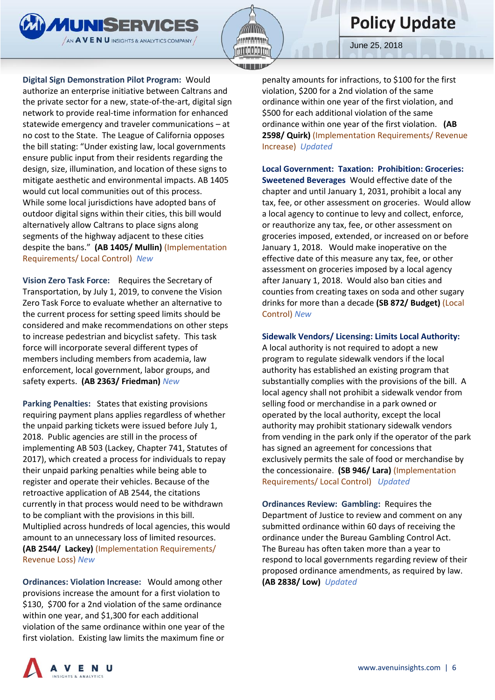![](_page_5_Picture_0.jpeg)

**Digital Sign Demonstration Pilot Program:** Would

**MUNISERVICES** 

 $\sqrt{3}$  AVENU INSIGHTS & ANALYTICS COMPANY

authorize an enterprise initiative between Caltrans and the private sector for a new, state-of-the-art, digital sign network to provide real-time information for enhanced statewide emergency and traveler communications – at no cost to the State. The League of California opposes the bill stating: "Under existing law, local governments ensure public input from their residents regarding the design, size, illumination, and location of these signs to mitigate aesthetic and environmental impacts. AB 1405 would cut local communities out of this process. While some local jurisdictions have adopted bans of outdoor digital signs within their cities, this bill would alternatively allow Caltrans to place signs along segments of the highway adjacent to these cities despite the bans." **(AB 1405/ Mullin)** (Implementation Requirements/ Local Control) *New*

**Vision Zero Task Force:** Requires the Secretary of Transportation, by July 1, 2019, to convene the Vision Zero Task Force to evaluate whether an alternative to the current process for setting speed limits should be considered and make recommendations on other steps to increase pedestrian and bicyclist safety. This task force will incorporate several different types of members including members from academia, law enforcement, local government, labor groups, and safety experts. **(AB 2363/ Friedman)** *New*

**Parking Penalties:** States that existing provisions requiring payment plans applies regardless of whether the unpaid parking tickets were issued before July 1, 2018. Public agencies are still in the process of implementing AB 503 (Lackey, Chapter 741, Statutes of 2017), which created a process for individuals to repay their unpaid parking penalties while being able to register and operate their vehicles. Because of the retroactive application of AB 2544, the citations currently in that process would need to be withdrawn to be compliant with the provisions in this bill. Multiplied across hundreds of local agencies, this would amount to an unnecessary loss of limited resources. **(AB 2544/ Lackey)** (Implementation Requirements/ Revenue Loss) *New* 

**Ordinances: Violation Increase:** Would among other provisions increase the amount for a first violation to \$130, \$700 for a 2nd violation of the same ordinance within one year, and \$1,300 for each additional violation of the same ordinance within one year of the first violation. Existing law limits the maximum fine or

penalty amounts for infractions, to \$100 for the first violation, \$200 for a 2nd violation of the same ordinance within one year of the first violation, and \$500 for each additional violation of the same ordinance within one year of the first violation. **(AB 2598/ Quirk)** (Implementation Requirements/ Revenue Increase) *Updated*

**Local Government: Taxation: Prohibition: Groceries: Sweetened Beverages** Would effective date of the chapter and until January 1, 2031, prohibit a local any tax, fee, or other assessment on groceries. Would allow a local agency to continue to levy and collect, enforce, or reauthorize any tax, fee, or other assessment on groceries imposed, extended, or increased on or before January 1, 2018. Would make inoperative on the effective date of this measure any tax, fee, or other assessment on groceries imposed by a local agency after January 1, 2018. Would also ban cities and counties from creating taxes on soda and other sugary drinks for more than a decade **(SB 872/ Budget)** (Local Control) *New*

#### **Sidewalk Vendors/ Licensing: Limits Local Authority:**

A local authority is not required to adopt a new program to regulate sidewalk vendors if the local authority has established an existing program that substantially complies with the provisions of the bill. A local agency shall not prohibit a sidewalk vendor from selling food or merchandise in a park owned or operated by the local authority, except the local authority may prohibit stationary sidewalk vendors from vending in the park only if the operator of the park has signed an agreement for concessions that exclusively permits the sale of food or merchandise by the concessionaire. **(SB 946/ Lara)** (Implementation Requirements/ Local Control) *Updated*

**Ordinances Review: Gambling:** Requires the Department of Justice to review and comment on any submitted ordinance within 60 days of receiving the ordinance under the Bureau Gambling Control Act. The Bureau has often taken more than a year to respond to local governments regarding review of their proposed ordinance amendments, as required by law. **(AB 2838/ Low)** *Updated*

![](_page_5_Picture_13.jpeg)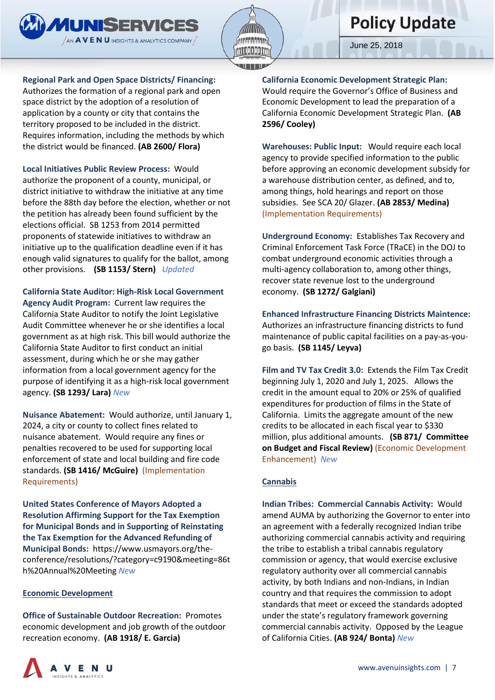![](_page_6_Picture_0.jpeg)

**Regional Park and Open Space Districts/ Financing:** 

**MUNISERVICES**  $\sqrt{3}$  AVENU INSIGHTS & ANALYTICS COMPANY

Authorizes the formation of a regional park and open space district by the adoption of a resolution of application by a county or city that contains the territory proposed to be included in the district. Requires information, including the methods by which the district would be financed. **(AB 2600/ Flora)**

**Local Initiatives Public Review Process:** Would authorize the proponent of a county, municipal, or district initiative to withdraw the initiative at any time before the 88th day before the election, whether or not the petition has already been found sufficient by the elections official. SB 1253 from 2014 permitted proponents of statewide initiatives to withdraw an initiative up to the qualification deadline even if it has enough valid signatures to qualify for the ballot, among other provisions. **(SB 1153/ Stern)** *Updated*

**California State Auditor: High-Risk Local Government Agency Audit Program:** Current law requires the California State Auditor to notify the Joint Legislative Audit Committee whenever he or she identifies a local government as at high risk. This bill would authorize the California State Auditor to first conduct an initial assessment, during which he or she may gather information from a local government agency for the purpose of identifying it as a high-risk local government agency. **(SB 1293/ Lara)** *New*

**Nuisance Abatement:** Would authorize, until January 1, 2024, a city or county to collect fines related to nuisance abatement. Would require any fines or penalties recovered to be used for supporting local enforcement of state and local building and fire code standards. **(SB 1416/ McGuire)** (Implementation Requirements)

**United States Conference of Mayors Adopted a Resolution Affirming Support for the Tax Exemption for Municipal Bonds and in Supporting of Reinstating the Tax Exemption for the Advanced Refunding of Municipal Bonds:** https://www.usmayors.org/theconference/resolutions/?category=c9190&meeting=86t h%20Annual%20Meeting *New*

#### **Economic Development**

**Office of Sustainable Outdoor Recreation:** Promotes economic development and job growth of the outdoor recreation economy. **(AB 1918/ E. Garcia)**

**California Economic Development Strategic Plan:**  Would require the Governor's Office of Business and Economic Development to lead the preparation of a California Economic Development Strategic Plan. **(AB 2596/ Cooley)**

**Warehouses: Public Input:** Would require each local agency to provide specified information to the public before approving an economic development subsidy for a warehouse distribution center, as defined, and to, among things, hold hearings and report on those subsidies. See SCA 20/ Glazer. **(AB 2853/ Medina)**  (Implementation Requirements)

**Underground Economy:** Establishes Tax Recovery and Criminal Enforcement Task Force (TRaCE) in the DOJ to combat underground economic activities through a multi-agency collaboration to, among other things, recover state revenue lost to the underground economy. **(SB 1272/ Galgiani)**

**Enhanced Infrastructure Financing Districts Maintence:**  Authorizes an infrastructure financing districts to fund maintenance of public capital facilities on a pay-as-yougo basis. **(SB 1145/ Leyva)** 

**Film and TV Tax Credit 3.0:** Extends the Film Tax Credit beginning July 1, 2020 and July 1, 2025. Allows the credit in the amount equal to 20% or 25% of qualified expenditures for production of films in the State of California. Limits the aggregate amount of the new credits to be allocated in each fiscal year to \$330 million, plus additional amounts. **(SB 871/ Committee on Budget and Fiscal Review)** (Economic Development Enhancement) *New*

#### **Cannabis**

**Indian Tribes: Commercial Cannabis Activity:** Would amend AUMA by authorizing the Governor to enter into an agreement with a federally recognized Indian tribe authorizing commercial cannabis activity and requiring the tribe to establish a tribal cannabis regulatory commission or agency, that would exercise exclusive regulatory authority over all commercial cannabis activity, by both Indians and non-Indians, in Indian country and that requires the commission to adopt standards that meet or exceed the standards adopted under the state's regulatory framework governing commercial cannabis activity. Opposed by the League of California Cities. **(AB 924/ Bonta)** *New*

![](_page_6_Picture_18.jpeg)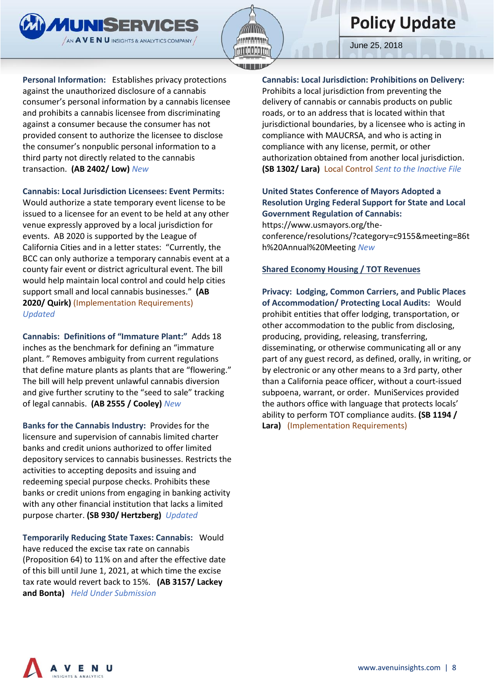![](_page_7_Picture_0.jpeg)

![](_page_7_Picture_1.jpeg)

**Personal Information:** Establishes privacy protections against the unauthorized disclosure of a cannabis consumer's personal information by a cannabis licensee and prohibits a cannabis licensee from discriminating against a consumer because the consumer has not provided consent to authorize the licensee to disclose the consumer's nonpublic personal information to a third party not directly related to the cannabis transaction. **(AB 2402/ Low)** *New*

**Cannabis: Local Jurisdiction Licensees: Event Permits:** 

Would authorize a state temporary event license to be issued to a licensee for an event to be held at any other venue expressly approved by a local jurisdiction for events. AB 2020 is supported by the League of California Cities and in a letter states: "Currently, the BCC can only authorize a temporary cannabis event at a county fair event or district agricultural event. The bill would help maintain local control and could help cities support small and local cannabis businesses." **(AB 2020/ Quirk)** (Implementation Requirements) *Updated* 

**Cannabis: Definitions of "Immature Plant:"** Adds 18 inches as the benchmark for defining an "immature plant. " Removes ambiguity from current regulations that define mature plants as plants that are "flowering." The bill will help prevent unlawful cannabis diversion and give further scrutiny to the "seed to sale" tracking of legal cannabis. **(AB 2555 / Cooley)** *New*

**Banks for the Cannabis Industry:** Provides for the licensure and supervision of cannabis limited charter banks and credit unions authorized to offer limited depository services to cannabis businesses. Restricts the activities to accepting deposits and issuing and redeeming special purpose checks. Prohibits these banks or credit unions from engaging in banking activity with any other financial institution that lacks a limited purpose charter. **(SB 930/ Hertzberg)** *Updated*

**Temporarily Reducing State Taxes: Cannabis:** Would have reduced the excise tax rate on cannabis (Proposition 64) to 11% on and after the effective date of this bill until June 1, 2021, at which time the excise tax rate would revert back to 15%. **(AB 3157/ Lackey and Bonta)** *Held Under Submission*

**Cannabis: Local Jurisdiction: Prohibitions on Delivery:**  Prohibits a local jurisdiction from preventing the delivery of cannabis or cannabis products on public roads, or to an address that is located within that jurisdictional boundaries, by a licensee who is acting in compliance with MAUCRSA, and who is acting in compliance with any license, permit, or other authorization obtained from another local jurisdiction. **(SB 1302/ Lara)** Local Control *Sent to the Inactive File*

# **United States Conference of Mayors Adopted a Resolution Urging Federal Support for State and Local Government Regulation of Cannabis:**

https://www.usmayors.org/theconference/resolutions/?category=c9155&meeting=86t h%20Annual%20Meeting *New*

### **Shared Economy Housing / TOT Revenues**

**Privacy: Lodging, Common Carriers, and Public Places of Accommodation/ Protecting Local Audits:** Would prohibit entities that offer lodging, transportation, or other accommodation to the public from disclosing, producing, providing, releasing, transferring, disseminating, or otherwise communicating all or any part of any guest record, as defined, orally, in writing, or by electronic or any other means to a 3rd party, other than a California peace officer, without a court-issued subpoena, warrant, or order. MuniServices provided the authors office with language that protects locals' ability to perform TOT compliance audits. **(SB 1194 / Lara)** (Implementation Requirements)

![](_page_7_Picture_14.jpeg)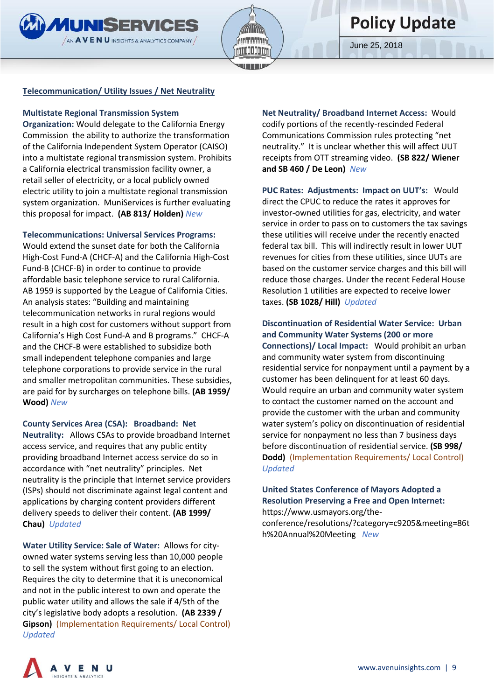![](_page_8_Picture_0.jpeg)

![](_page_8_Picture_1.jpeg)

#### **Telecommunication/ Utility Issues / Net Neutrality**

#### **Multistate Regional Transmission System**

**Organization:** Would delegate to the California Energy Commission the ability to authorize the transformation of the California Independent System Operator (CAISO) into a multistate regional transmission system. Prohibits a California electrical transmission facility owner, a retail seller of electricity, or a local publicly owned electric utility to join a multistate regional transmission system organization. MuniServices is further evaluating this proposal for impact. **(AB 813/ Holden)** *New*

#### **Telecommunications: Universal Services Programs:**

Would extend the sunset date for both the California High-Cost Fund-A (CHCF-A) and the California High-Cost Fund-B (CHCF-B) in order to continue to provide affordable basic telephone service to rural California. AB 1959 is supported by the League of California Cities. An analysis states: "Building and maintaining telecommunication networks in rural regions would result in a high cost for customers without support from California's High Cost Fund-A and B programs." CHCF-A and the CHCF-B were established to subsidize both small independent telephone companies and large telephone corporations to provide service in the rural and smaller metropolitan communities. These subsidies, are paid for by surcharges on telephone bills. **(AB 1959/ Wood)** *New*

#### **County Services Area (CSA): Broadband: Net**

**Neutrality:** Allows CSAs to provide broadband Internet access service, and requires that any public entity providing broadband Internet access service do so in accordance with "net neutrality" principles. Net neutrality is the principle that Internet service providers (ISPs) should not discriminate against legal content and applications by charging content providers different delivery speeds to deliver their content. **(AB 1999/ Chau)** *Updated*

**Water Utility Service: Sale of Water:** Allows for cityowned water systems serving less than 10,000 people to sell the system without first going to an election. Requires the city to determine that it is uneconomical and not in the public interest to own and operate the public water utility and allows the sale if 4/5th of the city's legislative body adopts a resolution. **(AB 2339 / Gipson)** (Implementation Requirements/ Local Control) *Updated*

**Net Neutrality/ Broadband Internet Access:** Would codify portions of the recently-rescinded Federal Communications Commission rules protecting "net neutrality." It is unclear whether this will affect UUT receipts from OTT streaming video. **(SB 822/ Wiener and SB 460 / De Leon)** *New*

**PUC Rates: Adjustments: Impact on UUT's:** Would direct the CPUC to reduce the rates it approves for investor-owned utilities for gas, electricity, and water service in order to pass on to customers the tax savings these utilities will receive under the recently enacted federal tax bill. This will indirectly result in lower UUT revenues for cities from these utilities, since UUTs are based on the customer service charges and this bill will reduce those charges. Under the recent Federal House Resolution 1 utilities are expected to receive lower taxes. **(SB 1028/ Hill)** *Updated*

**Discontinuation of Residential Water Service: Urban and Community Water Systems (200 or more Connections)/ Local Impact:** Would prohibit an urban and community water system from discontinuing residential service for nonpayment until a payment by a customer has been delinquent for at least 60 days. Would require an urban and community water system to contact the customer named on the account and provide the customer with the urban and community water system's policy on discontinuation of residential service for nonpayment no less than 7 business days before discontinuation of residential service. **(SB 998/ Dodd)** (Implementation Requirements/ Local Control) *Updated*

# **United States Conference of Mayors Adopted a Resolution Preserving a Free and Open Internet:**

https://www.usmayors.org/theconference/resolutions/?category=c9205&meeting=86t h%20Annual%20Meeting *New*

![](_page_8_Picture_16.jpeg)